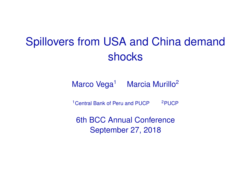## Spillovers from USA and China demand shocks

Marco Vega<sup>1</sup> Marcia Murillo<sup>2</sup>

<sup>1</sup>Central Bank of Peru and PUCP <sup>2</sup>PUCP

6th BCC Annual Conference September 27, 2018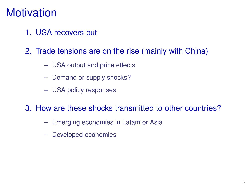### **Motivation**

- 1. USA recovers but
- 2. Trade tensions are on the rise (mainly with China)
	- USA output and price effects
	- Demand or supply shocks?
	- USA policy responses

#### 3. How are these shocks transmitted to other countries?

- Emerging economies in Latam or Asia
- Developed economies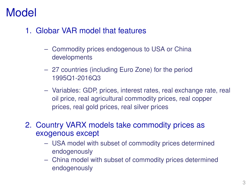## Model

- 1. Globar VAR model that features
	- Commodity prices endogenous to USA or China developments
	- 27 countries (including Euro Zone) for the period 1995Q1-2016Q3
	- Variables: GDP, prices, interest rates, real exchange rate, real oil price, real agricultural commodity prices, real copper prices, real gold prices, real silver prices
- 2. Country VARX models take commodity prices as exogenous except
	- USA model with subset of commodity prices determined endogenously
	- China model with subset of commodity prices determined endogenously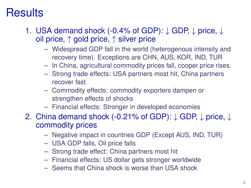## **Results**

- 1. USA demand shock (-0.4% of GDP): ↓ GDP, ↓ price, ↓ oil price, ↑ gold price, ↑ silver price
	- Widespread GDP fall in the world (heterogenous intensity and recovery time). Exceptions are CHN, AUS, KOR, IND, TUR
	- In China, agricultural commodity prices fall, cooper price rises.
	- Strong trade effects: USA partners most hit, China partners recover fast
	- Commodity effects: commodity exporters dampen or strengthen effects of shocks
	- Financial effects: Stronger in developed economies
- 2. China demand shock (-0.21% of GDP): ↓ GDP, ↓ price, ↓ commodity prices
	- Negative impact in countries GDP (Except AUS, IND, TUR)
	- USA GDP falls, Oil price falls
	- Strong trade effect: China partners most hit
	- Financial effects: US dollar gets stronger worldwide
	- Seems that China shock is worse than USA shock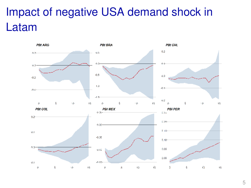# Impact of negative USA demand shock in Latam

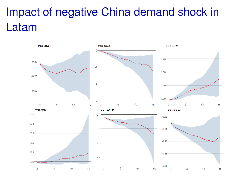# Impact of negative China demand shock in Latam